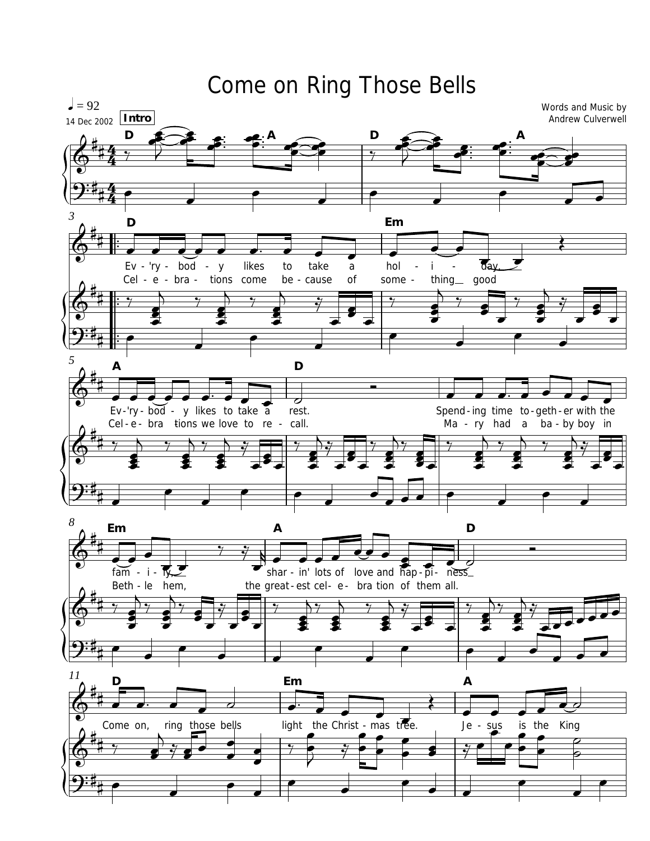